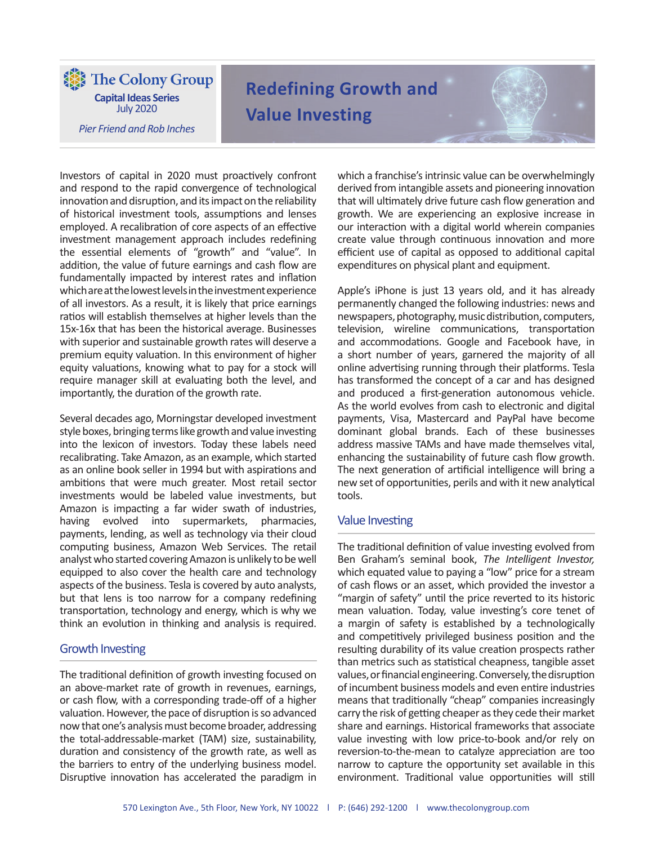The Colony Group **Capital Ideas Series** July 2020

*Pier Friend and Rob Inches*

# **Redefining Growth and Value Investing**

Investors of capital in 2020 must proactively confront and respond to the rapid convergence of technological innovation and disruption, and its impact on the reliability of historical investment tools, assumptions and lenses employed. A recalibration of core aspects of an effective investment management approach includes redefining the essential elements of "growth" and "value". In addition, the value of future earnings and cash flow are fundamentally impacted by interest rates and inflation which are at the lowest levels in the investment experience of all investors. As a result, it is likely that price earnings ratios will establish themselves at higher levels than the 15x-16x that has been the historical average. Businesses with superior and sustainable growth rates will deserve a premium equity valuation. In this environment of higher equity valuations, knowing what to pay for a stock will require manager skill at evaluating both the level, and importantly, the duration of the growth rate.

Several decades ago, Morningstar developed investment style boxes, bringing terms like growth and value investing into the lexicon of investors. Today these labels need recalibrating. Take Amazon, as an example, which started as an online book seller in 1994 but with aspirations and ambitions that were much greater. Most retail sector investments would be labeled value investments, but Amazon is impacting a far wider swath of industries, having evolved into supermarkets, pharmacies, payments, lending, as well as technology via their cloud computing business, Amazon Web Services. The retail analyst who started covering Amazon is unlikely to be well equipped to also cover the health care and technology aspects of the business. Tesla is covered by auto analysts, but that lens is too narrow for a company redefining transportation, technology and energy, which is why we think an evolution in thinking and analysis is required.

## Growth Investing

The traditional definition of growth investing focused on an above-market rate of growth in revenues, earnings, or cash flow, with a corresponding trade-off of a higher valuation. However, the pace of disruption is so advanced now that one's analysis must become broader, addressing the total-addressable-market (TAM) size, sustainability, duration and consistency of the growth rate, as well as the barriers to entry of the underlying business model. Disruptive innovation has accelerated the paradigm in which a franchise's intrinsic value can be overwhelmingly derived from intangible assets and pioneering innovation that will ultimately drive future cash flow generation and growth. We are experiencing an explosive increase in our interaction with a digital world wherein companies create value through continuous innovation and more efficient use of capital as opposed to additional capital expenditures on physical plant and equipment.

Apple's iPhone is just 13 years old, and it has already permanently changed the following industries: news and newspapers, photography, music distribution, computers, television, wireline communications, transportation and accommodations. Google and Facebook have, in a short number of years, garnered the majority of all online advertising running through their platforms. Tesla has transformed the concept of a car and has designed and produced a first-generation autonomous vehicle. As the world evolves from cash to electronic and digital payments, Visa, Mastercard and PayPal have become dominant global brands. Each of these businesses address massive TAMs and have made themselves vital, enhancing the sustainability of future cash flow growth. The next generation of artificial intelligence will bring a new set of opportunities, perils and with it new analytical tools.

## Value Investing

The traditional definition of value investing evolved from Ben Graham's seminal book, *The Intelligent Investor,* which equated value to paying a "low" price for a stream of cash flows or an asset, which provided the investor a "margin of safety" until the price reverted to its historic mean valuation. Today, value investing's core tenet of a margin of safety is established by a technologically and competitively privileged business position and the resulting durability of its value creation prospects rather than metrics such as statistical cheapness, tangible asset values, or financial engineering. Conversely, the disruption of incumbent business models and even entire industries means that traditionally "cheap" companies increasingly carry the risk of getting cheaper as they cede their market share and earnings. Historical frameworks that associate value investing with low price-to-book and/or rely on reversion-to-the-mean to catalyze appreciation are too narrow to capture the opportunity set available in this environment. Traditional value opportunities will still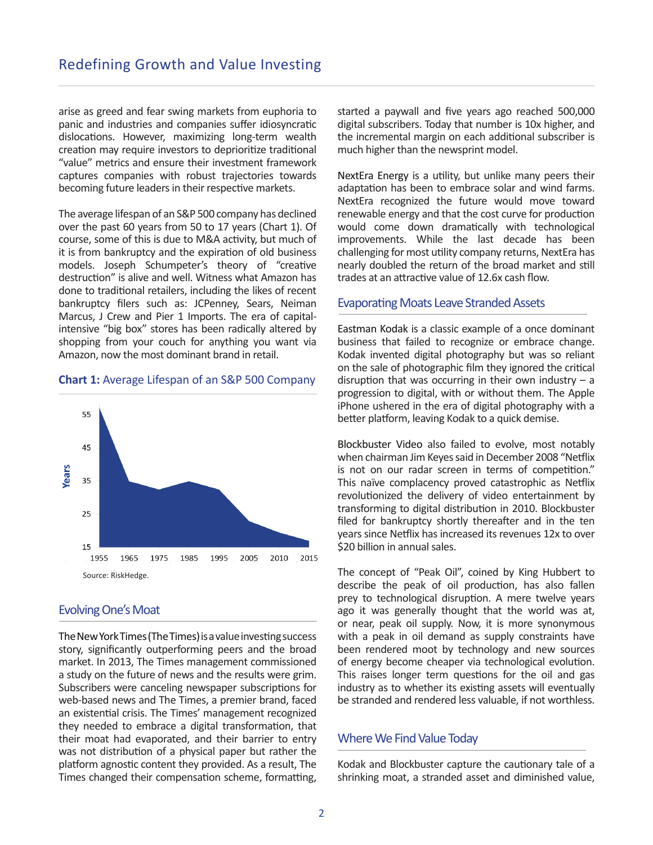arise as greed and fear swing markets from euphoria to panic and industries and companies suffer idiosyncratic dislocations. However, maximizing long-term wealth creation may require investors to deprioritize traditional "value" metrics and ensure their investment framework captures companies with robust trajectories towards becoming future leaders in their respective markets.

The average lifespan of an S&P 500 company has declined over the past 60 years from 50 to 17 years (Chart 1). Of course, some of this is due to M&A activity, but much of it is from bankruptcy and the expiration of old business models. Joseph Schumpeter's theory of "creative destruction" is alive and well. Witness what Amazon has done to traditional retailers, including the likes of recent bankruptcy filers such as: JCPenney, Sears, Neiman Marcus, J Crew and Pier 1 Imports. The era of capitalintensive "big box" stores has been radically altered by shopping from your couch for anything you want via Amazon, now the most dominant brand in retail.

#### **Chart 1:** Average Lifespan of an S&P 500 Company



## Evolving One's Moat

The New York Times (The Times) is a value investing success story, significantly outperforming peers and the broad market. In 2013, The Times management commissioned a study on the future of news and the results were grim. Subscribers were canceling newspaper subscriptions for web-based news and The Times, a premier brand, faced an existential crisis. The Times' management recognized they needed to embrace a digital transformation, that their moat had evaporated, and their barrier to entry was not distribution of a physical paper but rather the platform agnostic content they provided. As a result, The Times changed their compensation scheme, formatting,

started a paywall and five years ago reached 500,000 digital subscribers. Today that number is 10x higher, and the incremental margin on each additional subscriber is much higher than the newsprint model.

NextEra Energy is a utility, but unlike many peers their adaptation has been to embrace solar and wind farms. NextEra recognized the future would move toward renewable energy and that the cost curve for production would come down dramatically with technological improvements. While the last decade has been challenging for most utility company returns, NextEra has nearly doubled the return of the broad market and still trades at an attractive value of 12.6x cash flow.

#### **Evaporating Moats Leave Stranded Assets**

Eastman Kodak is a classic example of a once dominant business that failed to recognize or embrace change. Kodak invented digital photography but was so reliant on the sale of photographic film they ignored the critical disruption that was occurring in their own industry  $- a$ progression to digital, with or without them. The Apple iPhone ushered in the era of digital photography with a better platform, leaving Kodak to a quick demise.

Blockbuster Video also failed to evolve, most notably when chairman Jim Keyes said in December 2008 "Netflix is not on our radar screen in terms of competition." This naïve complacency proved catastrophic as Netflix revolutionized the delivery of video entertainment by transforming to digital distribution in 2010. Blockbuster filed for bankruptcy shortly thereafter and in the ten years since Netflix has increased its revenues 12x to over \$20 billion in annual sales.

The concept of "Peak Oil", coined by King Hubbert to describe the peak of oil production, has also fallen prey to technological disruption. A mere twelve years ago it was generally thought that the world was at, or near, peak oil supply. Now, it is more synonymous with a peak in oil demand as supply constraints have been rendered moot by technology and new sources of energy become cheaper via technological evolution. This raises longer term questions for the oil and gas industry as to whether its existing assets will eventually be stranded and rendered less valuable, if not worthless.

#### Where We Find Value Today

Kodak and Blockbuster capture the cautionary tale of a shrinking moat, a stranded asset and diminished value,